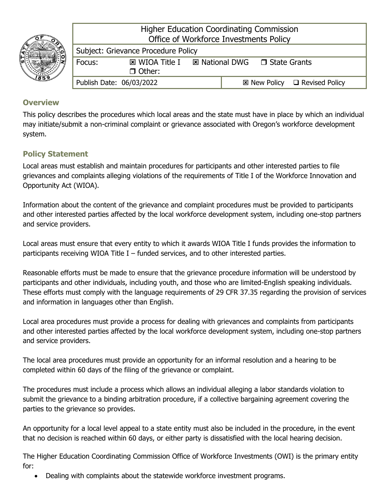

Higher Education Coordinating Commission Office of Workforce Investments Policy

| Subject: Grievance Procedure Policy |                                 |  |  |                               |                                              |
|-------------------------------------|---------------------------------|--|--|-------------------------------|----------------------------------------------|
| Focus:                              | 図 WIOA Title I<br>$\Box$ Other: |  |  | ⊠ National DWG □ State Grants |                                              |
| Publish Date: 06/03/2022            |                                 |  |  |                               | $\boxtimes$ New Policy $\Box$ Revised Policy |

# **Overview**

This policy describes the procedures which local areas and the state must have in place by which an individual may initiate/submit a non-criminal complaint or grievance associated with Oregon's workforce development system.

## **Policy Statement**

Local areas must establish and maintain procedures for participants and other interested parties to file grievances and complaints alleging violations of the requirements of Title I of the Workforce Innovation and Opportunity Act (WIOA).

Information about the content of the grievance and complaint procedures must be provided to participants and other interested parties affected by the local workforce development system, including one-stop partners and service providers.

Local areas must ensure that every entity to which it awards WIOA Title I funds provides the information to participants receiving WIOA Title I – funded services, and to other interested parties.

Reasonable efforts must be made to ensure that the grievance procedure information will be understood by participants and other individuals, including youth, and those who are limited-English speaking individuals. These efforts must comply with the language requirements of 29 CFR 37.35 regarding the provision of services and information in languages other than English.

Local area procedures must provide a process for dealing with grievances and complaints from participants and other interested parties affected by the local workforce development system, including one-stop partners and service providers.

The local area procedures must provide an opportunity for an informal resolution and a hearing to be completed within 60 days of the filing of the grievance or complaint.

The procedures must include a process which allows an individual alleging a labor standards violation to submit the grievance to a binding arbitration procedure, if a collective bargaining agreement covering the parties to the grievance so provides.

An opportunity for a local level appeal to a state entity must also be included in the procedure, in the event that no decision is reached within 60 days, or either party is dissatisfied with the local hearing decision.

The Higher Education Coordinating Commission Office of Workforce Investments (OWI) is the primary entity for:

• Dealing with complaints about the statewide workforce investment programs.